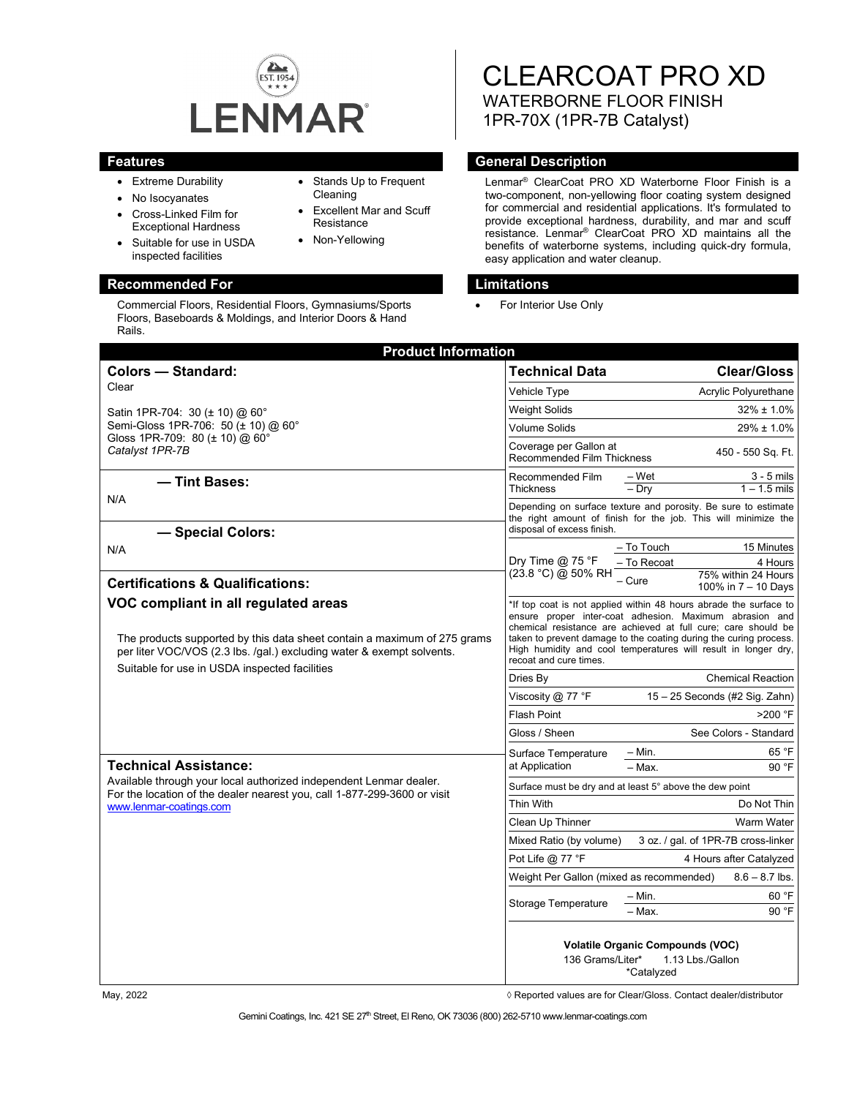

- Extreme Durability
- No Isocyanates
- Cross-Linked Film for Exceptional Hardness
- Suitable for use in USDA inspected facilities

## **Recommended For Limitations**

Commercial Floors, Residential Floors, Gymnasiums/Sports Floors, Baseboards & Moldings, and Interior Doors & Hand Rails.

• Stands Up to Frequent Cleaning

- **Excellent Mar and Scuff Resistance**
- Non-Yellowing

# CLEARCOAT PRO XD WATERBORNE FLOOR FINISH 1PR-70X (1PR-7B Catalyst)

## **Features General Description**

Lenmar® ClearCoat PRO XD Waterborne Floor Finish is a two-component, non-yellowing floor coating system designed for commercial and residential applications. It's formulated to provide exceptional hardness, durability, and mar and scuff resistance. Lenmar® ClearCoat PRO XD maintains all the benefits of waterborne systems, including quick-dry formula, easy application and water cleanup.

For Interior Use Only

| <b>Product Information</b>                                                                                                                                                                                                                 |                                                                                               |                                                                                                                                                                                                                                                                                                                                      |
|--------------------------------------------------------------------------------------------------------------------------------------------------------------------------------------------------------------------------------------------|-----------------------------------------------------------------------------------------------|--------------------------------------------------------------------------------------------------------------------------------------------------------------------------------------------------------------------------------------------------------------------------------------------------------------------------------------|
| <b>Colors - Standard:</b>                                                                                                                                                                                                                  | <b>Technical Data</b>                                                                         | <b>Clear/Gloss</b>                                                                                                                                                                                                                                                                                                                   |
| Clear                                                                                                                                                                                                                                      | Vehicle Type                                                                                  | Acrylic Polyurethane                                                                                                                                                                                                                                                                                                                 |
| Satin 1PR-704: 30 (± 10) @ 60°<br>Semi-Gloss 1PR-706: 50 (± 10) @ 60°<br>Gloss 1PR-709: 80 ( $\pm$ 10) @ 60°<br>Catalyst 1PR-7B                                                                                                            | <b>Weight Solids</b>                                                                          | $32\% \pm 1.0\%$                                                                                                                                                                                                                                                                                                                     |
|                                                                                                                                                                                                                                            | Volume Solids                                                                                 | 29% ± 1.0%                                                                                                                                                                                                                                                                                                                           |
|                                                                                                                                                                                                                                            | Coverage per Gallon at<br>Recommended Film Thickness                                          | 450 - 550 Sq. Ft.                                                                                                                                                                                                                                                                                                                    |
| - Tint Bases:                                                                                                                                                                                                                              | Recommended Film                                                                              | – Wet<br>$3 - 5$ mils                                                                                                                                                                                                                                                                                                                |
| N/A                                                                                                                                                                                                                                        | <b>Thickness</b>                                                                              | $1 - 1.5$ mils<br>$-$ Dry                                                                                                                                                                                                                                                                                                            |
|                                                                                                                                                                                                                                            |                                                                                               | Depending on surface texture and porosity. Be sure to estimate<br>the right amount of finish for the job. This will minimize the                                                                                                                                                                                                     |
| - Special Colors:                                                                                                                                                                                                                          | disposal of excess finish.                                                                    |                                                                                                                                                                                                                                                                                                                                      |
| N/A                                                                                                                                                                                                                                        |                                                                                               | - To Touch<br>15 Minutes                                                                                                                                                                                                                                                                                                             |
|                                                                                                                                                                                                                                            | Dry Time $@$ 75 °F<br>(23.8 °C) @ 50% RH                                                      | – To Recoat<br>4 Hours<br>75% within 24 Hours                                                                                                                                                                                                                                                                                        |
| <b>Certifications &amp; Qualifications:</b>                                                                                                                                                                                                |                                                                                               | – Cure<br>100% in 7 - 10 Days                                                                                                                                                                                                                                                                                                        |
| VOC compliant in all regulated areas<br>The products supported by this data sheet contain a maximum of 275 grams<br>per liter VOC/VOS (2.3 lbs. /gal.) excluding water & exempt solvents.<br>Suitable for use in USDA inspected facilities | recoat and cure times.                                                                        | *If top coat is not applied within 48 hours abrade the surface to<br>ensure proper inter-coat adhesion. Maximum abrasion and<br>chemical resistance are achieved at full cure; care should be<br>taken to prevent damage to the coating during the curing process.<br>High humidity and cool temperatures will result in longer dry, |
|                                                                                                                                                                                                                                            | Dries By                                                                                      | <b>Chemical Reaction</b>                                                                                                                                                                                                                                                                                                             |
|                                                                                                                                                                                                                                            | 15 - 25 Seconds (#2 Sig. Zahn)<br>Viscosity @ 77 °F                                           |                                                                                                                                                                                                                                                                                                                                      |
|                                                                                                                                                                                                                                            | <b>Flash Point</b>                                                                            | >200 °F                                                                                                                                                                                                                                                                                                                              |
|                                                                                                                                                                                                                                            | Gloss / Sheen                                                                                 | See Colors - Standard                                                                                                                                                                                                                                                                                                                |
| <b>Technical Assistance:</b><br>Available through your local authorized independent Lenmar dealer.<br>For the location of the dealer nearest you, call 1-877-299-3600 or visit<br>www.lenmar-coatings.com                                  | Surface Temperature<br>at Application                                                         | 65 °F<br>– Min.                                                                                                                                                                                                                                                                                                                      |
|                                                                                                                                                                                                                                            |                                                                                               | - Max.<br>90 °F                                                                                                                                                                                                                                                                                                                      |
|                                                                                                                                                                                                                                            | Surface must be dry and at least 5° above the dew point                                       |                                                                                                                                                                                                                                                                                                                                      |
|                                                                                                                                                                                                                                            | Thin With                                                                                     | Do Not Thin                                                                                                                                                                                                                                                                                                                          |
|                                                                                                                                                                                                                                            | Clean Up Thinner                                                                              | Warm Water                                                                                                                                                                                                                                                                                                                           |
|                                                                                                                                                                                                                                            | 3 oz. / gal. of 1PR-7B cross-linker<br>Mixed Ratio (by volume)                                |                                                                                                                                                                                                                                                                                                                                      |
|                                                                                                                                                                                                                                            | Pot Life @ 77 °F                                                                              | 4 Hours after Catalyzed                                                                                                                                                                                                                                                                                                              |
|                                                                                                                                                                                                                                            | Weight Per Gallon (mixed as recommended)<br>$8.6 - 8.7$ lbs.                                  |                                                                                                                                                                                                                                                                                                                                      |
|                                                                                                                                                                                                                                            | <b>Storage Temperature</b>                                                                    | – Min.<br>60 °F                                                                                                                                                                                                                                                                                                                      |
|                                                                                                                                                                                                                                            |                                                                                               | - Max.<br>90 °F                                                                                                                                                                                                                                                                                                                      |
|                                                                                                                                                                                                                                            | <b>Volatile Organic Compounds (VOC)</b><br>136 Grams/Liter*<br>1.13 Lbs./Gallon<br>*Catalyzed |                                                                                                                                                                                                                                                                                                                                      |

May, 2022 *May, 2022 Reported values are for Clear/Gloss. Contact dealer/distributor* $\Diamond$  **Reported values are for Clear/Gloss. Contact dealer/distributor**